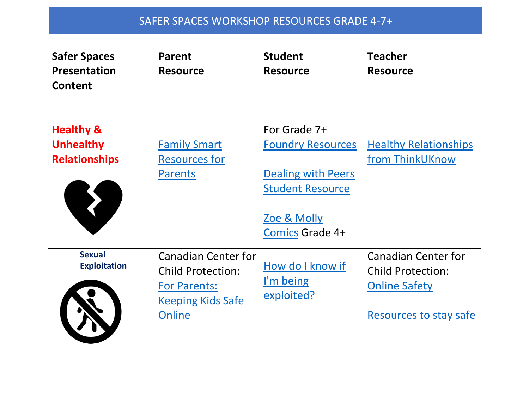## SAFER SPACES WORKSHOP RESOURCES GRADE 4-7+

| <b>Safer Spaces</b><br><b>Presentation</b><br><b>Content</b>     | <b>Parent</b><br><b>Resource</b>                                                                             | <b>Student</b><br><b>Resource</b>                                                                                                             | <b>Teacher</b><br><b>Resource</b>                                                                        |
|------------------------------------------------------------------|--------------------------------------------------------------------------------------------------------------|-----------------------------------------------------------------------------------------------------------------------------------------------|----------------------------------------------------------------------------------------------------------|
| <b>Healthy &amp;</b><br><b>Unhealthy</b><br><b>Relationships</b> | <b>Family Smart</b><br><b>Resources for</b><br><b>Parents</b>                                                | For Grade 7+<br><b>Foundry Resources</b><br><b>Dealing with Peers</b><br><b>Student Resource</b><br><u>Zoe &amp; Molly</u><br>Comics Grade 4+ | <b>Healthy Relationships</b><br>from ThinkUKnow                                                          |
| <b>Sexual</b><br><b>Exploitation</b>                             | <b>Canadian Center for</b><br><b>Child Protection:</b><br>For Parents:<br><b>Keeping Kids Safe</b><br>Online | How do I know if<br>I'm being<br>exploited?                                                                                                   | <b>Canadian Center for</b><br><b>Child Protection:</b><br><b>Online Safety</b><br>Resources to stay safe |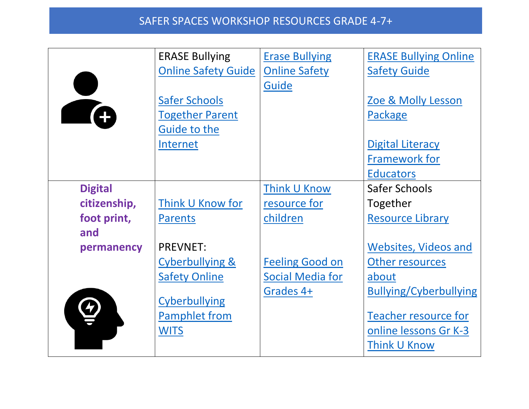## SAFER SPACES WORKSHOP RESOURCES GRADE 4-7+

|                    | <b>ERASE Bullying</b><br><b>Online Safety Guide</b>            | <b>Erase Bullying</b><br><b>Online Safety</b><br>Guide         | <b>ERASE Bullying Online</b><br><b>Safety Guide</b>                  |
|--------------------|----------------------------------------------------------------|----------------------------------------------------------------|----------------------------------------------------------------------|
| A                  | <b>Safer Schools</b><br><b>Together Parent</b><br>Guide to the |                                                                | Zoe & Molly Lesson<br>Package                                        |
|                    | Internet                                                       |                                                                | <b>Digital Literacy</b><br><b>Framework for</b><br><b>Educators</b>  |
| <b>Digital</b>     |                                                                | Think U Know                                                   | Safer Schools                                                        |
| citizenship,       | Think U Know for                                               | resource for                                                   | Together                                                             |
| foot print,<br>and | <b>Parents</b>                                                 | children                                                       | <b>Resource Library</b>                                              |
| permanency         | <b>PREVNET:</b>                                                |                                                                | <b>Websites, Videos and</b>                                          |
|                    | <b>Cyberbullying &amp;</b><br><b>Safety Online</b>             | <b>Feeling Good on</b><br><b>Social Media for</b><br>Grades 4+ | Other resources<br>about<br><b>Bullying/Cyberbullying</b>            |
|                    | <b>Cyberbullying</b><br><b>Pamphlet from</b><br><b>WITS</b>    |                                                                | <b>Teacher resource for</b><br>online lessons Gr K-3<br>Think U Know |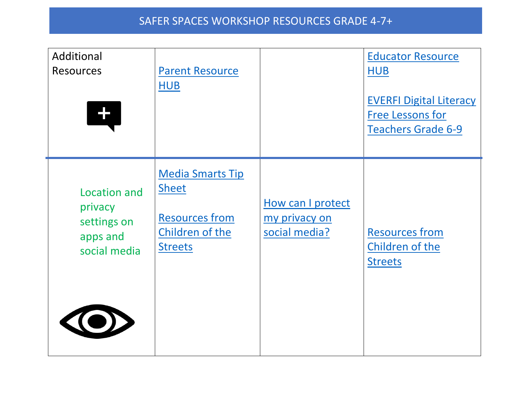| Additional<br><b>Resources</b><br>L.                               | <b>Parent Resource</b><br><b>HUB</b>                                                                  |                                                     | <b>Educator Resource</b><br><b>HUB</b><br><b>EVERFI Digital Literacy</b><br><b>Free Lessons for</b><br>Teachers Grade 6-9 |
|--------------------------------------------------------------------|-------------------------------------------------------------------------------------------------------|-----------------------------------------------------|---------------------------------------------------------------------------------------------------------------------------|
| Location and<br>privacy<br>settings on<br>apps and<br>social media | <b>Media Smarts Tip</b><br><b>Sheet</b><br><b>Resources from</b><br>Children of the<br><b>Streets</b> | How can I protect<br>my privacy on<br>social media? | <b>Resources from</b><br>Children of the<br><b>Streets</b>                                                                |
| <b>EXECUT</b>                                                      |                                                                                                       |                                                     |                                                                                                                           |